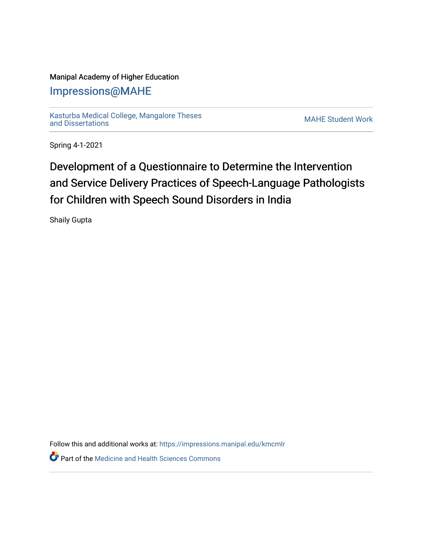### Manipal Academy of Higher Education

## [Impressions@MAHE](https://impressions.manipal.edu/)

[Kasturba Medical College, Mangalore Theses](https://impressions.manipal.edu/kmcmlr) [and Dissertations](https://impressions.manipal.edu/kmcmlr) [MAHE Student Work](https://impressions.manipal.edu/student-work) 

Spring 4-1-2021

# Development of a Questionnaire to Determine the Intervention and Service Delivery Practices of Speech-Language Pathologists for Children with Speech Sound Disorders in India

Shaily Gupta

Follow this and additional works at: [https://impressions.manipal.edu/kmcmlr](https://impressions.manipal.edu/kmcmlr?utm_source=impressions.manipal.edu%2Fkmcmlr%2F218&utm_medium=PDF&utm_campaign=PDFCoverPages) 

*O* Part of the Medicine and Health Sciences Commons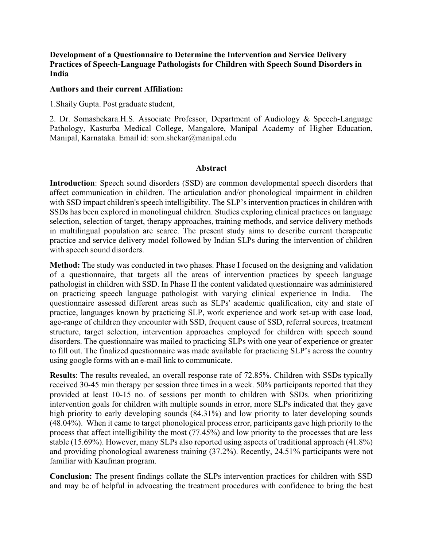#### **Development of a Questionnaire to Determine the Intervention and Service Delivery Practices of Speech-Language Pathologists for Children with Speech Sound Disorders in India**

#### **Authors and their current Affiliation:**

1.Shaily Gupta. Post graduate student,

2. Dr. Somashekara.H.S. Associate Professor, Department of Audiology & Speech-Language Pathology, Kasturba Medical College, Mangalore, Manipal Academy of Higher Education, Manipal, Karnataka. Email id: som.shekar@manipal.edu

#### **Abstract**

**Introduction**: Speech sound disorders (SSD) are common developmental speech disorders that affect communication in children. The articulation and/or phonological impairment in children with SSD impact children's speech intelligibility. The SLP's intervention practices in children with SSDs has been explored in monolingual children. Studies exploring clinical practices on language selection, selection of target, therapy approaches, training methods, and service delivery methods in multilingual population are scarce. The present study aims to describe current therapeutic practice and service delivery model followed by Indian SLPs during the intervention of children with speech sound disorders.

**Method:** The study was conducted in two phases. Phase I focused on the designing and validation of a questionnaire, that targets all the areas of intervention practices by speech language pathologist in children with SSD. In Phase II the content validated questionnaire was administered on practicing speech language pathologist with varying clinical experience in India. questionnaire assessed different areas such as SLPs' academic qualification, city and state of practice, languages known by practicing SLP, work experience and work set-up with case load, age-range of children they encounter with SSD, frequent cause of SSD, referral sources, treatment structure, target selection, intervention approaches employed for children with speech sound disorders. The questionnaire was mailed to practicing SLPs with one year of experience or greater to fill out. The finalized questionnaire was made available for practicing SLP's across the country using google forms with an e-mail link to communicate.

**Results**: The results revealed, an overall response rate of 72.85%. Children with SSDs typically received 30-45 min therapy per session three times in a week. 50% participants reported that they provided at least 10-15 no. of sessions per month to children with SSDs. when prioritizing intervention goals for children with multiple sounds in error, more SLPs indicated that they gave high priority to early developing sounds  $(84.31\%)$  and low priority to later developing sounds (48.04%). When it came to target phonological process error, participants gave high priority to the process that affect intelligibility the most (77.45%) and low priority to the processes that are less stable (15.69%). However, many SLPs also reported using aspects of traditional approach (41.8%) and providing phonological awareness training (37.2%). Recently, 24.51% participants were not familiar with Kaufman program.

**Conclusion:** The present findings collate the SLPs intervention practices for children with SSD and may be of helpful in advocating the treatment procedures with confidence to bring the best